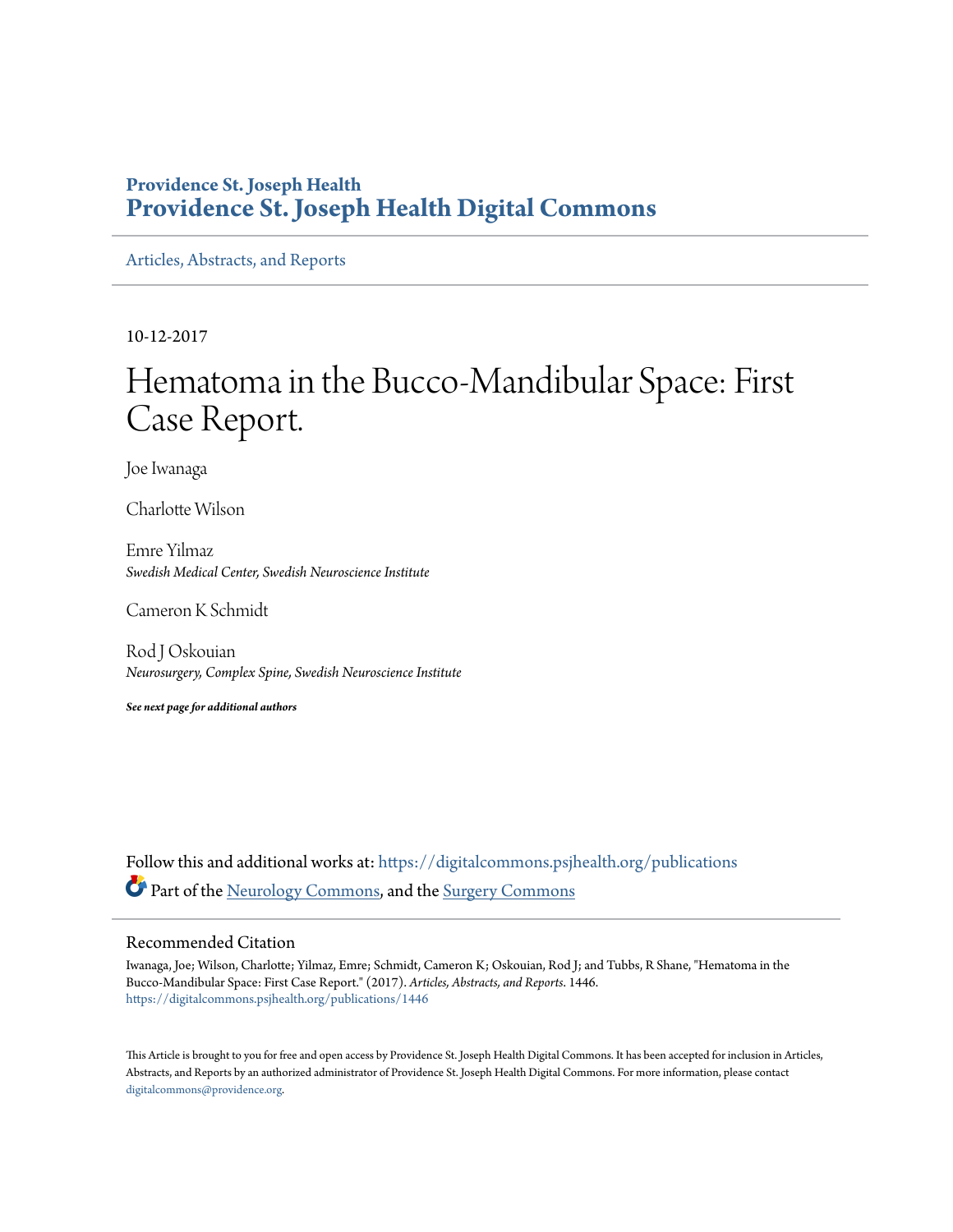### **Providence St. Joseph Health [Providence St. Joseph Health Digital Commons](https://digitalcommons.psjhealth.org?utm_source=digitalcommons.psjhealth.org%2Fpublications%2F1446&utm_medium=PDF&utm_campaign=PDFCoverPages)**

[Articles, Abstracts, and Reports](https://digitalcommons.psjhealth.org/publications?utm_source=digitalcommons.psjhealth.org%2Fpublications%2F1446&utm_medium=PDF&utm_campaign=PDFCoverPages)

10-12-2017

# Hematoma in the Bucco-Mandibular Space: First Case Report.

Joe Iwanaga

Charlotte Wilson

Emre Yilmaz *Swedish Medical Center, Swedish Neuroscience Institute*

Cameron K Schmidt

Rod J Oskouian *Neurosurgery, Complex Spine, Swedish Neuroscience Institute*

*See next page for additional authors*

Follow this and additional works at: [https://digitalcommons.psjhealth.org/publications](https://digitalcommons.psjhealth.org/publications?utm_source=digitalcommons.psjhealth.org%2Fpublications%2F1446&utm_medium=PDF&utm_campaign=PDFCoverPages) Part of the [Neurology Commons](http://network.bepress.com/hgg/discipline/692?utm_source=digitalcommons.psjhealth.org%2Fpublications%2F1446&utm_medium=PDF&utm_campaign=PDFCoverPages), and the [Surgery Commons](http://network.bepress.com/hgg/discipline/706?utm_source=digitalcommons.psjhealth.org%2Fpublications%2F1446&utm_medium=PDF&utm_campaign=PDFCoverPages)

#### Recommended Citation

Iwanaga, Joe; Wilson, Charlotte; Yilmaz, Emre; Schmidt, Cameron K; Oskouian, Rod J; and Tubbs, R Shane, "Hematoma in the Bucco-Mandibular Space: First Case Report." (2017). *Articles, Abstracts, and Reports*. 1446. [https://digitalcommons.psjhealth.org/publications/1446](https://digitalcommons.psjhealth.org/publications/1446?utm_source=digitalcommons.psjhealth.org%2Fpublications%2F1446&utm_medium=PDF&utm_campaign=PDFCoverPages)

This Article is brought to you for free and open access by Providence St. Joseph Health Digital Commons. It has been accepted for inclusion in Articles, Abstracts, and Reports by an authorized administrator of Providence St. Joseph Health Digital Commons. For more information, please contact [digitalcommons@providence.org](mailto:digitalcommons@providence.org).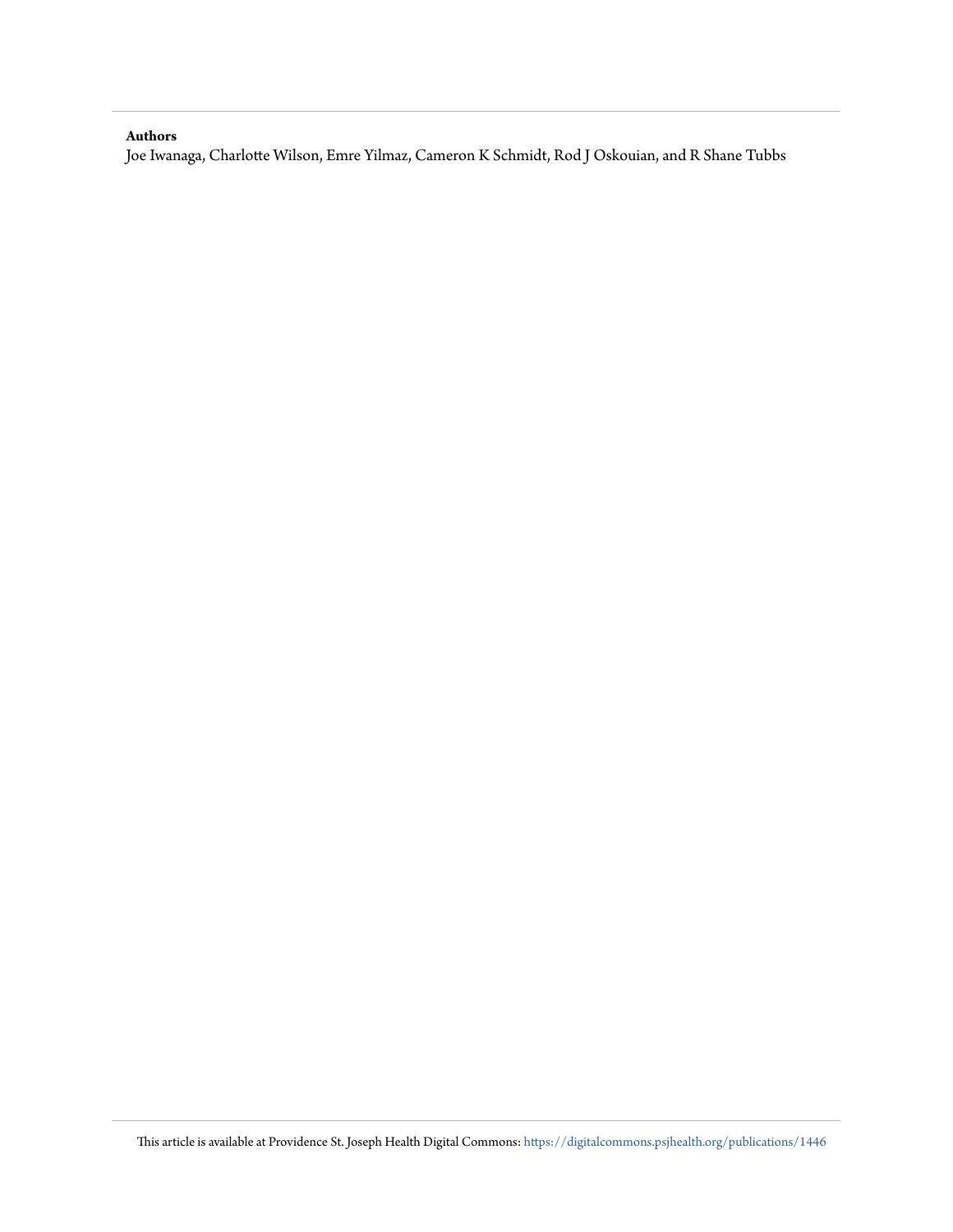#### <span id="page-1-0"></span>**Authors**

Joe Iwanaga, Charlotte Wilson, Emre Yilmaz, Cameron K Schmidt, Rod J Oskouian, and R Shane Tubbs

<span id="page-1-1"></span>This article is available at Providence St. Joseph Health Digital Commons: [https://digitalcommons.psjhealth.org/publications/1446](https://digitalcommons.psjhealth.org/publications/1446?utm_source=digitalcommons.psjhealth.org%2Fpublications%2F1446&utm_medium=PDF&utm_campaign=PDFCoverPages)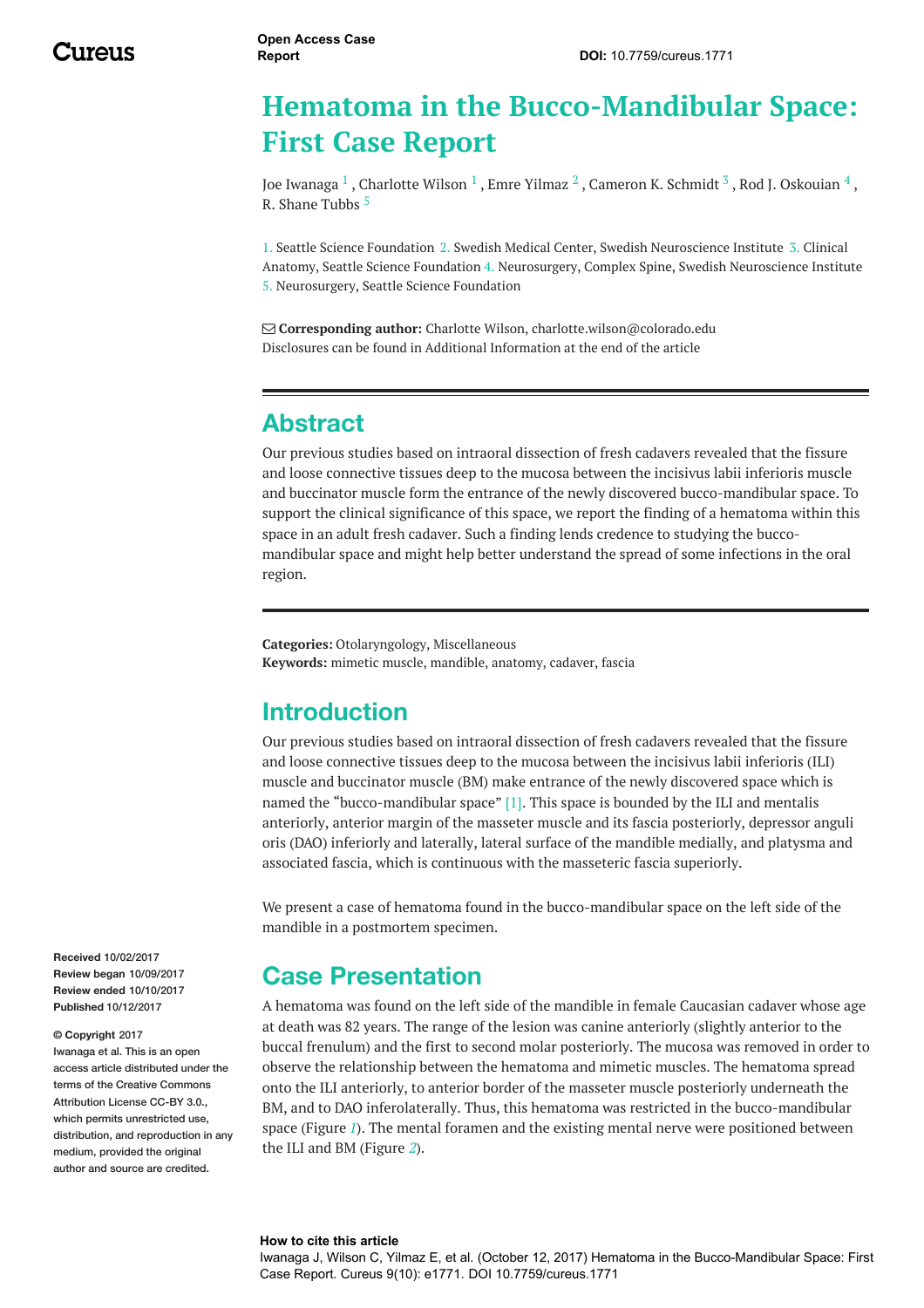## **Hematoma in the Bucco-Mandibular Space: First Case Report**

Joe [Iwanaga](https://www.cureus.com/users/29230-joe-iwanaga)  $^1$  , [Charlotte](https://www.cureus.com/users/50002-charlotte-wilson) Wilson  $^1$  , Emre [Yilmaz](https://www.cureus.com/users/50422-emre-yilmaz)  $^2$  , [Cameron](https://www.cureus.com/users/33632-cameron-k-schmidt) K. Schmidt  $^3$  , Rod J. [Oskouian](https://www.cureus.com/users/15997-rod-j-oskouian)  $^4$  , R. [Shane](https://www.cureus.com/users/19677-r-shane-tubbs) Tubbs 5

1. Seattle Science Foundation 2. Swedish Medical Center, Swedish Neuroscience Institute 3. Clinical Anatomy, Seattle Science Foundation 4. Neurosurgery, Complex Spine, Swedish Neuroscience Institute 5. Neurosurgery, Seattle Science Foundation

 **Corresponding author:** Charlotte Wilson, charlotte.wilson@colorado.edu Disclosures can be found in Additional Information at the end of the article

## **Abstract**

Our previous studies based on intraoral dissection of fresh cadavers revealed that the fissure and loose connective tissues deep to the mucosa between the incisivus labii inferioris muscle and buccinator muscle form the entrance of the newly discovered bucco-mandibular space. To support the clinical significance of this space, we report the finding of a hematoma within this space in an adult fresh cadaver. Such a finding lends credence to studying the buccomandibular space and might help better understand the spread of some infections in the oral region.

**Categories:** Otolaryngology, Miscellaneous **Keywords:** mimetic muscle, mandible, anatomy, cadaver, fascia

### **Introduction**

Our previous studies based on intraoral dissection of fresh cadavers revealed that the fissure and loose connective tissues deep to the mucosa between the incisivus labii inferioris (ILI) muscle and buccinator muscle (BM) make entrance of the newly discovered space which is named the "bucco-mandibular space" [1]. This space is bounded by the ILI and mentalis anteriorly, anterior margin of the masseter muscle and its fascia posteriorly, depressor anguli oris (DAO) inferiorly and laterally, lateral surface of the mandible medially, and platysma and associated fascia, which is continuous with the masseteric fascia superiorly.

We present a case of hematoma found in the bucco-mandibular space on the left side of the mandible in a postmortem specimen.

## **Case Presentation**

A hematoma was found on the left side of the mandible in female Caucasian cadaver whose age at death was 82 years. The range of the lesion was canine anteriorly (slightly anterior to the buccal frenulum) and the first to second molar posteriorly. The mucosa was removed in order to observe the relationship between the hematoma and mimetic muscles. The hematoma spread onto the ILI anteriorly, to anterior border of the masseter muscle posteriorly underneath the BM, and to DAO inferolaterally. Thus, this hematoma was restricted in the bucco-mandibular space (Figure *[1](#page-1-0)*). The mental foramen and the existing mental nerve were positioned between the ILI and BM (Figure *[2](#page-1-1)*).

#### **Received** 10/02/2017 **Review began** 10/09/2017 **Review ended** 10/10/2017 **Published** 10/12/2017

#### **© Copyright** 2017

Iwanaga et al. This is an open access article distributed under the terms of the Creative Commons Attribution License CC-BY 3.0. which permits unrestricted use, distribution, and reproduction in any medium, provided the original author and source are credited.

#### **How to cite this article**

Iwanaga J, Wilson C, Yilmaz E, et al. (October 12, 2017) Hematoma in the Bucco-Mandibular Space: First Case Report. Cureus 9(10): e1771. DOI 10.7759/cureus.1771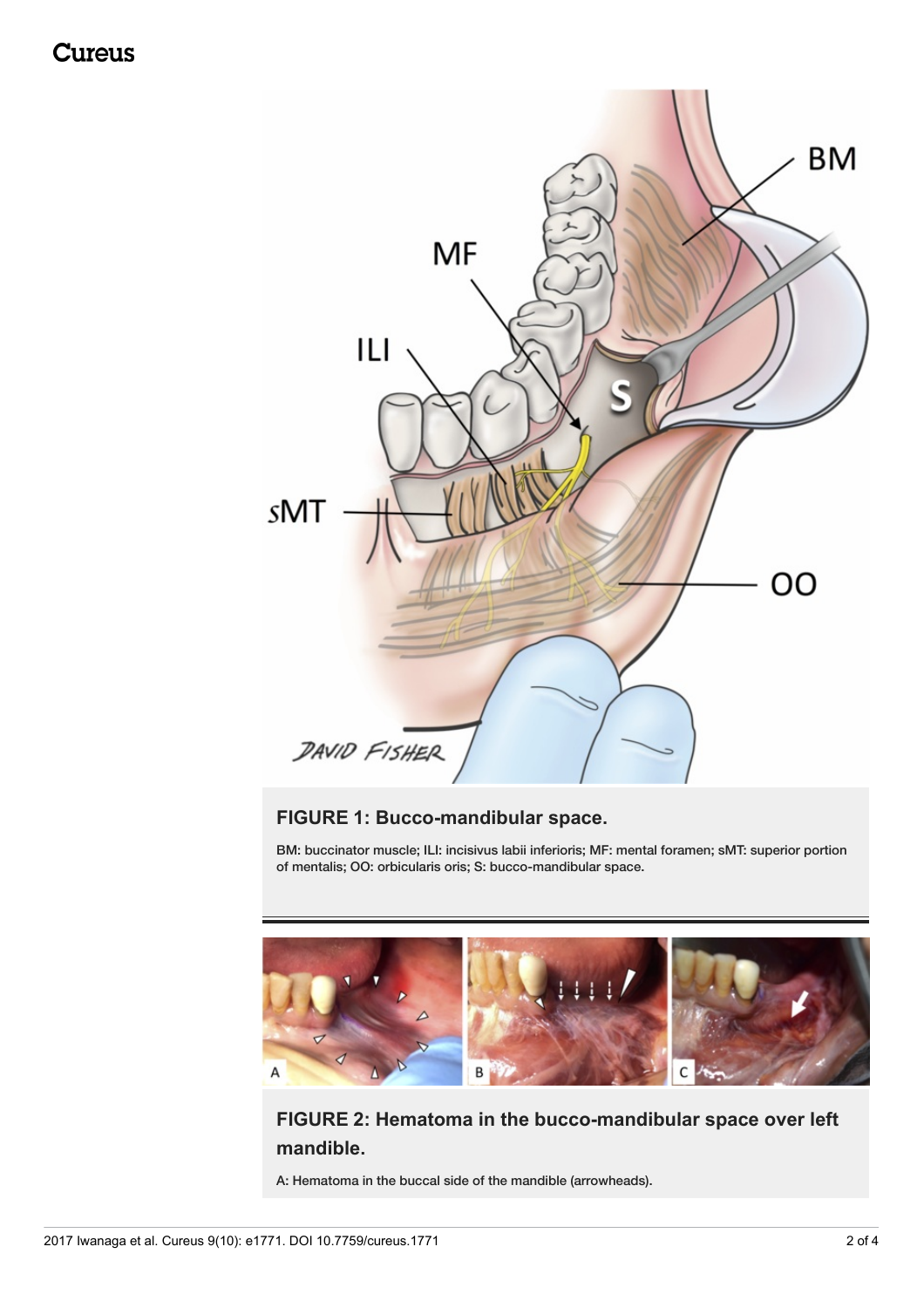Cureus



### **FIGURE 1: Bucco-mandibular space.**

BM: buccinator muscle; ILI: incisivus labii inferioris; MF: mental foramen; sMT: superior portion of mentalis; OO: orbicularis oris; S: bucco-mandibular space.



### **FIGURE 2: Hematoma in the bucco-mandibular space over left mandible.**

A: Hematoma in the buccal side of the mandible (arrowheads).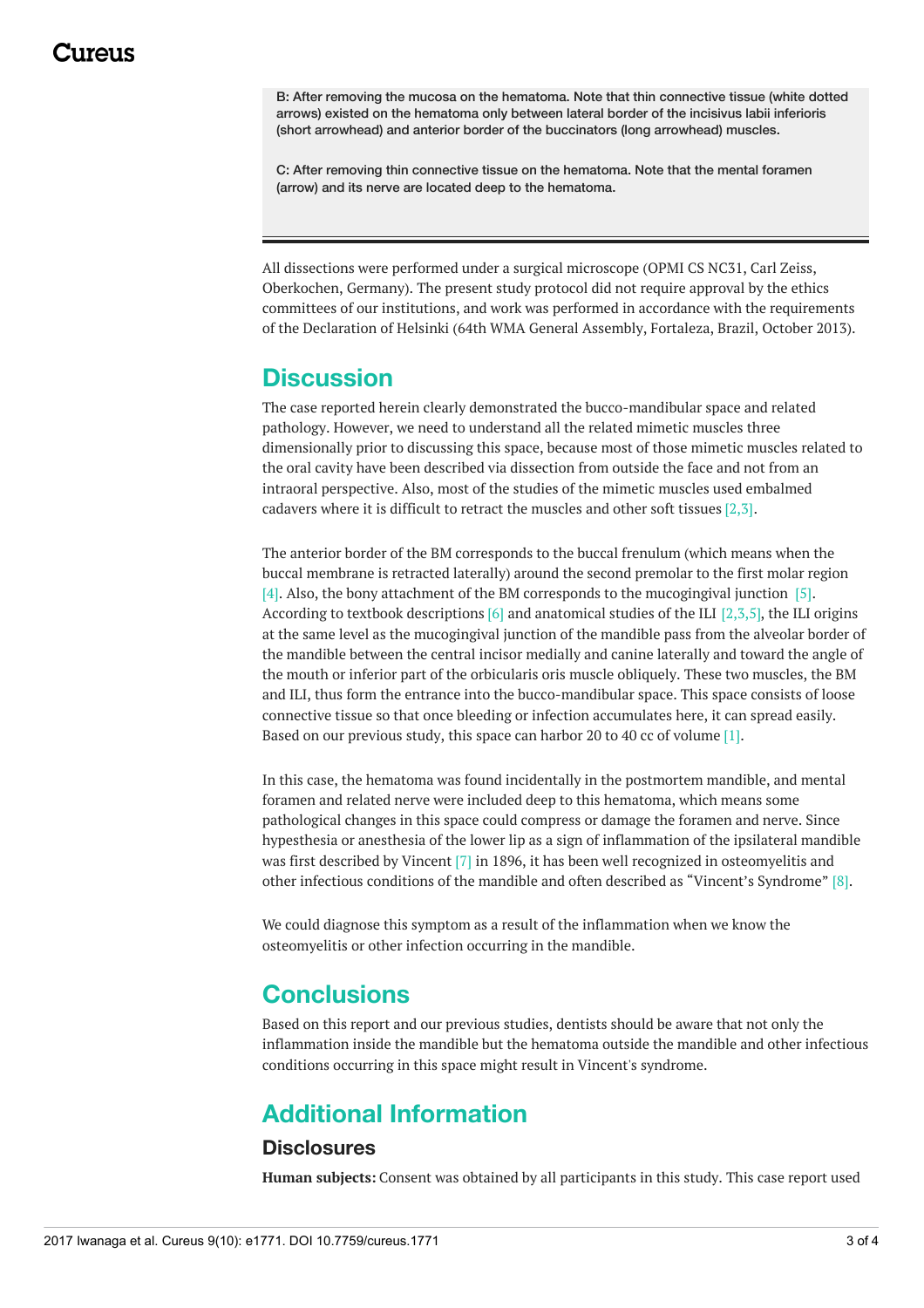B: After removing the mucosa on the hematoma. Note that thin connective tissue (white dotted arrows) existed on the hematoma only between lateral border of the incisivus labii inferioris (short arrowhead) and anterior border of the buccinators (long arrowhead) muscles.

C: After removing thin connective tissue on the hematoma. Note that the mental foramen (arrow) and its nerve are located deep to the hematoma.

All dissections were performed under a surgical microscope (OPMI CS NC31, Carl Zeiss, Oberkochen, Germany). The present study protocol did not require approval by the ethics committees of our institutions, and work was performed in accordance with the requirements of the Declaration of Helsinki (64th WMA General Assembly, Fortaleza, Brazil, October 2013).

### **Discussion**

The case reported herein clearly demonstrated the bucco-mandibular space and related pathology. However, we need to understand all the related mimetic muscles three dimensionally prior to discussing this space, because most of those mimetic muscles related to the oral cavity have been described via dissection from outside the face and not from an intraoral perspective. Also, most of the studies of the mimetic muscles used embalmed cadavers where it is difficult to retract the muscles and other soft tissues [2,3].

The anterior border of the BM corresponds to the buccal frenulum (which means when the buccal membrane is retracted laterally) around the second premolar to the first molar region [4]. Also, the bony attachment of the BM corresponds to the mucogingival junction [5]. According to textbook descriptions  $[6]$  and anatomical studies of the ILI  $[2,3,5]$ , the ILI origins at the same level as the mucogingival junction of the mandible pass from the alveolar border of the mandible between the central incisor medially and canine laterally and toward the angle of the mouth or inferior part of the orbicularis oris muscle obliquely. These two muscles, the BM and ILI, thus form the entrance into the bucco-mandibular space. This space consists of loose connective tissue so that once bleeding or infection accumulates here, it can spread easily. Based on our previous study, this space can harbor 20 to 40 cc of volume [1].

In this case, the hematoma was found incidentally in the postmortem mandible, and mental foramen and related nerve were included deep to this hematoma, which means some pathological changes in this space could compress or damage the foramen and nerve. Since hypesthesia or anesthesia of the lower lip as a sign of inflammation of the ipsilateral mandible was first described by Vincent [7] in 1896, it has been well recognized in osteomyelitis and other infectious conditions of the mandible and often described as "Vincent's Syndrome" [8].

We could diagnose this symptom as a result of the inflammation when we know the osteomyelitis or other infection occurring in the mandible.

## **Conclusions**

Based on this report and our previous studies, dentists should be aware that not only the inflammation inside the mandible but the hematoma outside the mandible and other infectious conditions occurring in this space might result in Vincent's syndrome.

## **Additional Information**

### **Disclosures**

**Human subjects:** Consent was obtained by all participants in this study. This case report used